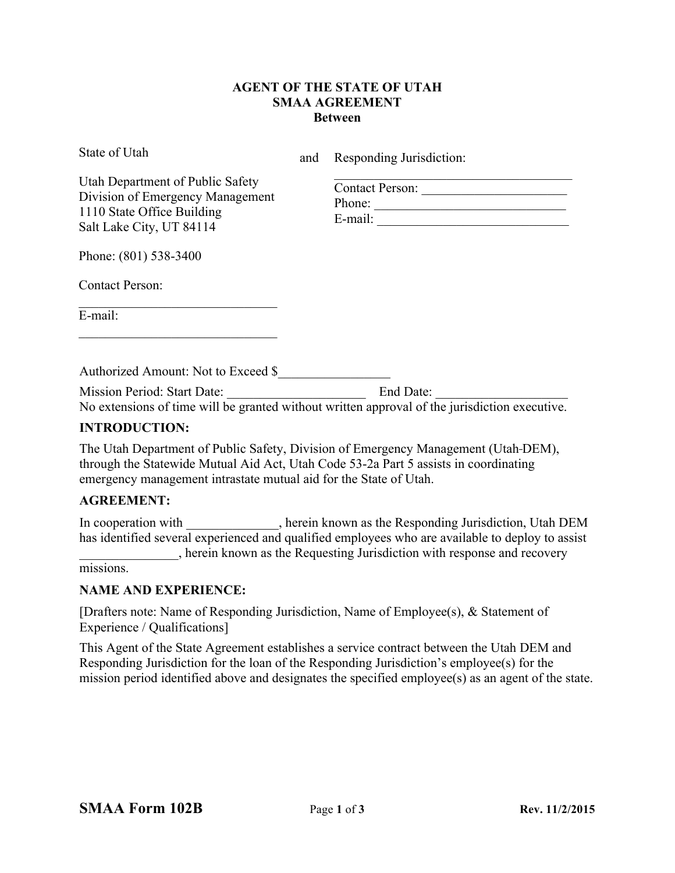#### **AGENT OF THE STATE OF UTAH SMAA AGREEMENT Between**

State of Utah

and Responding Jurisdiction:

Utah Department of Public Safety Division of Emergency Management 1110 State Office Building Salt Lake City, UT 84114

| <b>Contact Person:</b> |  |  |
|------------------------|--|--|
| Phone:                 |  |  |
| E-mail:                |  |  |

Phone: (801) 538-3400

Contact Person:

E-mail:

Authorized Amount: Not to Exceed \$\_\_\_\_\_\_\_\_\_\_\_\_\_\_\_\_\_

 $\mathcal{L}_\text{max}$  , and the set of the set of the set of the set of the set of the set of the set of the set of the set of the set of the set of the set of the set of the set of the set of the set of the set of the set of the

 $\mathcal{L}_\text{max}$ 

Mission Period: Start Date: <br> End Date:

No extensions of time will be granted without written approval of the jurisdiction executive.

#### **INTRODUCTION:**

The Utah Department of Public Safety, Division of Emergency Management (Utah DEM), through the Statewide Mutual Aid Act, Utah Code 53-2a Part 5 assists in coordinating emergency management intrastate mutual aid for the State of Utah.

#### **AGREEMENT:**

In cooperation with  $\qquad \qquad$ , herein known as the Responding Jurisdiction, Utah DEM has identified several experienced and qualified employees who are available to deploy to assist \_\_\_\_\_\_\_\_\_\_\_\_\_\_\_, herein known as the Requesting Jurisdiction with response and recovery missions.

#### **NAME AND EXPERIENCE:**

[Drafters note: Name of Responding Jurisdiction, Name of Employee(s), & Statement of Experience / Qualifications]

This Agent of the State Agreement establishes a service contract between the Utah DEM and Responding Jurisdiction for the loan of the Responding Jurisdiction's employee(s) for the mission period identified above and designates the specified employee(s) as an agent of the state.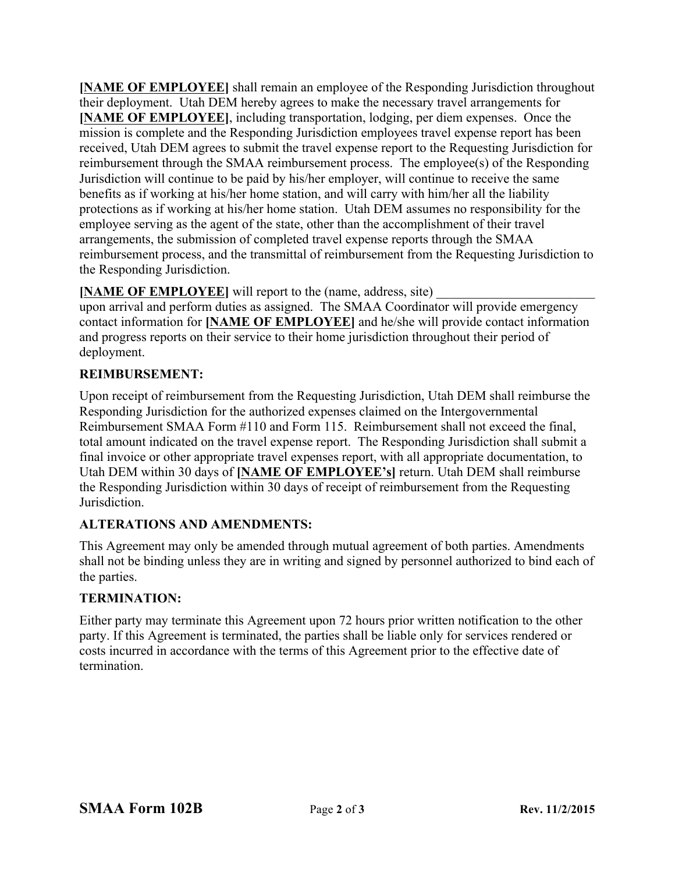**[NAME OF EMPLOYEE]** shall remain an employee of the Responding Jurisdiction throughout their deployment. Utah DEM hereby agrees to make the necessary travel arrangements for **[NAME OF EMPLOYEE]**, including transportation, lodging, per diem expenses. Once the mission is complete and the Responding Jurisdiction employees travel expense report has been received, Utah DEM agrees to submit the travel expense report to the Requesting Jurisdiction for reimbursement through the SMAA reimbursement process. The employee(s) of the Responding Jurisdiction will continue to be paid by his/her employer, will continue to receive the same benefits as if working at his/her home station, and will carry with him/her all the liability protections as if working at his/her home station. Utah DEM assumes no responsibility for the employee serving as the agent of the state, other than the accomplishment of their travel arrangements, the submission of completed travel expense reports through the SMAA reimbursement process, and the transmittal of reimbursement from the Requesting Jurisdiction to the Responding Jurisdiction.

## **[NAME OF EMPLOYEE]** will report to the (name, address, site)

upon arrival and perform duties as assigned. The SMAA Coordinator will provide emergency contact information for **[NAME OF EMPLOYEE]** and he/she will provide contact information and progress reports on their service to their home jurisdiction throughout their period of deployment.

## **REIMBURSEMENT:**

Upon receipt of reimbursement from the Requesting Jurisdiction, Utah DEM shall reimburse the Responding Jurisdiction for the authorized expenses claimed on the Intergovernmental Reimbursement SMAA Form #110 and Form 115. Reimbursement shall not exceed the final, total amount indicated on the travel expense report. The Responding Jurisdiction shall submit a final invoice or other appropriate travel expenses report, with all appropriate documentation, to Utah DEM within 30 days of **[NAME OF EMPLOYEE's]** return. Utah DEM shall reimburse the Responding Jurisdiction within 30 days of receipt of reimbursement from the Requesting Jurisdiction.

# **ALTERATIONS AND AMENDMENTS:**

This Agreement may only be amended through mutual agreement of both parties. Amendments shall not be binding unless they are in writing and signed by personnel authorized to bind each of the parties.

## **TERMINATION:**

Either party may terminate this Agreement upon 72 hours prior written notification to the other party. If this Agreement is terminated, the parties shall be liable only for services rendered or costs incurred in accordance with the terms of this Agreement prior to the effective date of termination.